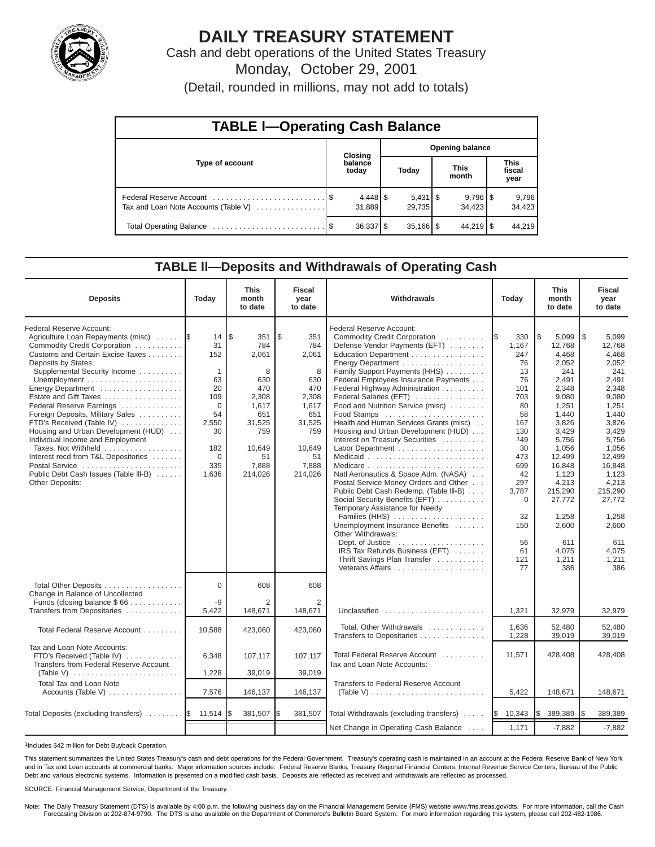

# **DAILY TREASURY STATEMENT**

Cash and debt operations of the United States Treasury Monday, October 29, 2001

(Detail, rounded in millions, may not add to totals)

| <b>TABLE I-Operating Cash Balance</b> |  |                        |  |                                 |  |                                 |  |                               |  |  |
|---------------------------------------|--|------------------------|--|---------------------------------|--|---------------------------------|--|-------------------------------|--|--|
|                                       |  | Closing                |  | <b>Opening balance</b>          |  |                                 |  |                               |  |  |
| Type of account                       |  | balance<br>today       |  | Today                           |  | <b>This</b><br>month            |  | <b>This</b><br>fiscal<br>year |  |  |
| Tax and Loan Note Accounts (Table V)  |  | 31,889                 |  | $5,431$ $\frac{6}{9}$<br>29.735 |  | $9,796$ $\frac{8}{3}$<br>34.423 |  | 9,796<br>34,423               |  |  |
|                                       |  | $36,337$ $\frac{8}{3}$ |  | $35,166$ $\frac{8}{3}$          |  | $44,219$ $\sqrt{5}$             |  | 44.219                        |  |  |

### **TABLE ll—Deposits and Withdrawals of Operating Cash**

| <b>Deposits</b>                                                                                                                                                                                                                                                                                                                                                                                                                                                                                                                                             | Today                                                                                                          | <b>This</b><br>month<br>to date                                                                                             | <b>Fiscal</b><br>year<br>to date                                                                                           | Withdrawals<br>Today                                                                                                                                                                                                                                                                                                                                                                                                                                                                                                                                                                                                                                                                                                                                                                                                                                                           |                                                                                                                                                                                  | <b>This</b><br>month<br>to date                                                                                                                                                                                                              | <b>Fiscal</b><br>year<br>to date                                                                                                                                                                                                              |
|-------------------------------------------------------------------------------------------------------------------------------------------------------------------------------------------------------------------------------------------------------------------------------------------------------------------------------------------------------------------------------------------------------------------------------------------------------------------------------------------------------------------------------------------------------------|----------------------------------------------------------------------------------------------------------------|-----------------------------------------------------------------------------------------------------------------------------|----------------------------------------------------------------------------------------------------------------------------|--------------------------------------------------------------------------------------------------------------------------------------------------------------------------------------------------------------------------------------------------------------------------------------------------------------------------------------------------------------------------------------------------------------------------------------------------------------------------------------------------------------------------------------------------------------------------------------------------------------------------------------------------------------------------------------------------------------------------------------------------------------------------------------------------------------------------------------------------------------------------------|----------------------------------------------------------------------------------------------------------------------------------------------------------------------------------|----------------------------------------------------------------------------------------------------------------------------------------------------------------------------------------------------------------------------------------------|-----------------------------------------------------------------------------------------------------------------------------------------------------------------------------------------------------------------------------------------------|
| Federal Reserve Account:<br>Agriculture Loan Repayments (misc)<br>Commodity Credit Corporation<br>Customs and Certain Excise Taxes<br>Deposits by States:<br>Supplemental Security Income<br>Energy Department<br>Estate and Gift Taxes<br>Federal Reserve Earnings<br>Foreign Deposits, Military Sales<br>FTD's Received (Table IV)<br>Housing and Urban Development (HUD)<br>Individual Income and Employment<br>Taxes, Not Withheld<br>Interest recd from T&L Depositories<br>Postal Service<br>Public Debt Cash Issues (Table III-B)<br>Other Deposits: | 14<br>31<br>152<br>1<br>63<br>20<br>109<br>$\Omega$<br>54<br>2,550<br>30<br>182<br>$\mathbf 0$<br>335<br>1,636 | l\$<br>351<br>784<br>2,061<br>8<br>630<br>470<br>2,308<br>1,617<br>651<br>31,525<br>759<br>10,649<br>51<br>7,888<br>214,026 | \$<br>351<br>784<br>2,061<br>8<br>630<br>470<br>2,308<br>1,617<br>651<br>31,525<br>759<br>10,649<br>51<br>7,888<br>214,026 | Federal Reserve Account:<br>Commodity Credit Corporation<br>Defense Vendor Payments (EFT)<br>Education Department<br>Energy Department<br>Family Support Payments (HHS)<br>Federal Employees Insurance Payments<br>Federal Highway Administration<br>Federal Salaries (EFT)<br>Food and Nutrition Service (misc)<br>Food Stamps<br>Health and Human Services Grants (misc)<br>Housing and Urban Development (HUD)<br>Interest on Treasury Securities<br>Labor Department<br>Natl Aeronautics & Space Adm. (NASA)<br>Postal Service Money Orders and Other<br>Public Debt Cash Redemp. (Table III-B)<br>Social Security Benefits (EFT)<br>Temporary Assistance for Needy<br>Families (HHS)<br>Unemployment Insurance Benefits<br>Other Withdrawals:<br>Dept. of Justice $\dots\dots\dots\dots\dots\dots\dots$<br>IRS Tax Refunds Business (EFT)<br>Thrift Savings Plan Transfer | 330<br>I\$<br>1,167<br>247<br>76<br>13<br>76<br>101<br>703<br>80<br>58<br>167<br>130<br>149<br>30<br>473<br>699<br>42<br>297<br>3,787<br>0<br>32<br>150<br>56<br>61<br>121<br>77 | \$<br>5,099<br>12,768<br>4,468<br>2,052<br>241<br>2,491<br>2,348<br>9,080<br>1,251<br>1,440<br>3,826<br>3,429<br>5,756<br>1,056<br>12,499<br>16,848<br>1,123<br>4,213<br>215,290<br>27,772<br>1.258<br>2,600<br>611<br>4.075<br>1,211<br>386 | l\$<br>5,099<br>12,768<br>4,468<br>2,052<br>241<br>2,491<br>2,348<br>9,080<br>1,251<br>1,440<br>3,826<br>3,429<br>5,756<br>1,056<br>12,499<br>16,848<br>1,123<br>4,213<br>215,290<br>27.772<br>1,258<br>2.600<br>611<br>4,075<br>1,211<br>386 |
| Total Other Deposits<br>Change in Balance of Uncollected<br>Funds (closing balance \$66                                                                                                                                                                                                                                                                                                                                                                                                                                                                     | $\Omega$<br>-9                                                                                                 | 608<br>$\overline{2}$                                                                                                       | 608<br>2                                                                                                                   |                                                                                                                                                                                                                                                                                                                                                                                                                                                                                                                                                                                                                                                                                                                                                                                                                                                                                |                                                                                                                                                                                  |                                                                                                                                                                                                                                              |                                                                                                                                                                                                                                               |
| Transfers from Depositaries                                                                                                                                                                                                                                                                                                                                                                                                                                                                                                                                 | 5,422                                                                                                          | 148,671                                                                                                                     | 148,671                                                                                                                    | Unclassified                                                                                                                                                                                                                                                                                                                                                                                                                                                                                                                                                                                                                                                                                                                                                                                                                                                                   | 1,321                                                                                                                                                                            | 32,979                                                                                                                                                                                                                                       | 32,979                                                                                                                                                                                                                                        |
| Total Federal Reserve Account                                                                                                                                                                                                                                                                                                                                                                                                                                                                                                                               | 10,588                                                                                                         | 423,060                                                                                                                     | 423,060                                                                                                                    | Total, Other Withdrawals<br>Transfers to Depositaries                                                                                                                                                                                                                                                                                                                                                                                                                                                                                                                                                                                                                                                                                                                                                                                                                          | 1.636<br>1,228                                                                                                                                                                   | 52.480<br>39,019                                                                                                                                                                                                                             | 52.480<br>39.019                                                                                                                                                                                                                              |
| Tax and Loan Note Accounts:<br>FTD's Received (Table IV)<br>Transfers from Federal Reserve Account<br>(Table V)                                                                                                                                                                                                                                                                                                                                                                                                                                             | 6,348<br>1,228                                                                                                 | 107,117<br>39,019                                                                                                           | 107,117<br>39,019                                                                                                          | Total Federal Reserve Account<br>Tax and Loan Note Accounts:                                                                                                                                                                                                                                                                                                                                                                                                                                                                                                                                                                                                                                                                                                                                                                                                                   | 11,571                                                                                                                                                                           | 428,408                                                                                                                                                                                                                                      | 428.408                                                                                                                                                                                                                                       |
| <b>Total Tax and Loan Note</b>                                                                                                                                                                                                                                                                                                                                                                                                                                                                                                                              |                                                                                                                |                                                                                                                             |                                                                                                                            | <b>Transfers to Federal Reserve Account</b>                                                                                                                                                                                                                                                                                                                                                                                                                                                                                                                                                                                                                                                                                                                                                                                                                                    |                                                                                                                                                                                  |                                                                                                                                                                                                                                              |                                                                                                                                                                                                                                               |
| Accounts (Table V)                                                                                                                                                                                                                                                                                                                                                                                                                                                                                                                                          | 7,576                                                                                                          | 146,137                                                                                                                     | 146,137                                                                                                                    | (Table V) $\ldots \ldots \ldots \ldots \ldots \ldots \ldots \ldots$                                                                                                                                                                                                                                                                                                                                                                                                                                                                                                                                                                                                                                                                                                                                                                                                            | 5,422                                                                                                                                                                            | 148,671                                                                                                                                                                                                                                      | 148,671                                                                                                                                                                                                                                       |
| Total Deposits (excluding transfers) $\ldots \ldots$ $\frac{1}{3}$ 11,514                                                                                                                                                                                                                                                                                                                                                                                                                                                                                   |                                                                                                                | 381,507                                                                                                                     | l\$<br>381,507                                                                                                             | Total Withdrawals (excluding transfers)                                                                                                                                                                                                                                                                                                                                                                                                                                                                                                                                                                                                                                                                                                                                                                                                                                        | 10,343<br><b>S</b>                                                                                                                                                               | Ι\$<br>389,389                                                                                                                                                                                                                               | 389,389<br>I\$                                                                                                                                                                                                                                |
|                                                                                                                                                                                                                                                                                                                                                                                                                                                                                                                                                             |                                                                                                                |                                                                                                                             |                                                                                                                            | Net Change in Operating Cash Balance                                                                                                                                                                                                                                                                                                                                                                                                                                                                                                                                                                                                                                                                                                                                                                                                                                           | 1,171                                                                                                                                                                            | $-7,882$                                                                                                                                                                                                                                     | $-7,882$                                                                                                                                                                                                                                      |

1Includes \$42 million for Debt Buyback Operation.

This statement summarizes the United States Treasury's cash and debt operations for the Federal Government. Treasury's operating cash is maintained in an account at the Federal Reserve Bank of New York and in Tax and Loan accounts at commercial banks. Major information sources include: Federal Reserve Banks, Treasury Regional Financial Centers, Internal Revenue Service Centers, Bureau of the Public Debt and various electronic systems. Information is presented on a modified cash basis. Deposits are reflected as received and withdrawals are reflected as processed.

#### SOURCE: Financial Management Service, Department of the Treasury.

Note: The Daily Treasury Statement (DTS) is available by 4:00 p.m. the following business day on the Financial Management Service (FMS) website www.fms.treas.gov/dts. For more information, call the Cash Forecasting Division at 202-874-9790. The DTS is also available on the Department of Commerce's Bulletin Board System. For more information regarding this system, please call 202-482-1986.